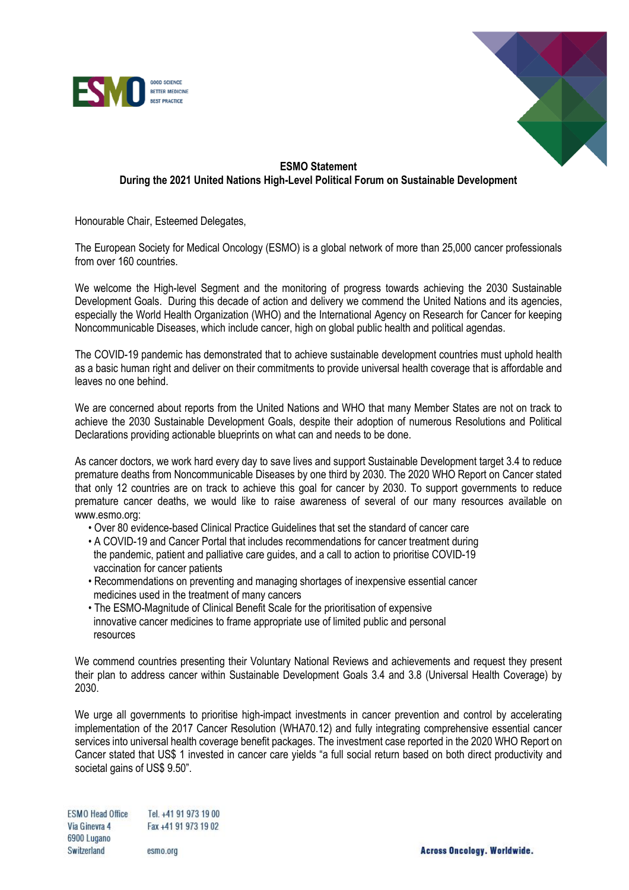



## **ESMO Statement During the 2021 United Nations High-Level Political Forum on Sustainable Development**

Honourable Chair, Esteemed Delegates,

The European Society for Medical Oncology (ESMO) is a global network of more than 25,000 cancer professionals from over 160 countries.

We welcome the High-level Segment and the monitoring of progress towards achieving the 2030 Sustainable Development Goals. During this decade of action and delivery we commend the United Nations and its agencies, especially the World Health Organization (WHO) and the International Agency on Research for Cancer for keeping Noncommunicable Diseases, which include cancer, high on global public health and political agendas.

The COVID-19 pandemic has demonstrated that to achieve sustainable development countries must uphold health as a basic human right and deliver on their commitments to provide universal health coverage that is affordable and leaves no one behind.

We are concerned about reports from the United Nations and WHO that many Member States are not on track to achieve the 2030 Sustainable Development Goals, despite their adoption of numerous Resolutions and Political Declarations providing actionable blueprints on what can and needs to be done.

As cancer doctors, we work hard every day to save lives and support Sustainable Development target 3.4 to reduce premature deaths from Noncommunicable Diseases by one third by 2030. The 2020 WHO Report on Cancer stated that only 12 countries are on track to achieve this goal for cancer by 2030. To support governments to reduce premature cancer deaths, we would like to raise awareness of several of our many resources available on www.esmo.org:

- Over 80 evidence-based Clinical Practice Guidelines that set the standard of cancer care
- A COVID-19 and Cancer Portal that includes recommendations for cancer treatment during the pandemic, patient and palliative care guides, and a call to action to prioritise COVID-19 vaccination for cancer patients
- Recommendations on preventing and managing shortages of inexpensive essential cancer medicines used in the treatment of many cancers
- The ESMO-Magnitude of Clinical Benefit Scale for the prioritisation of expensive innovative cancer medicines to frame appropriate use of limited public and personal resources

We commend countries presenting their Voluntary National Reviews and achievements and request they present their plan to address cancer within Sustainable Development Goals 3.4 and 3.8 (Universal Health Coverage) by 2030.

We urge all governments to prioritise high-impact investments in cancer prevention and control by accelerating implementation of the 2017 Cancer Resolution (WHA70.12) and fully integrating comprehensive essential cancer services into universal health coverage benefit packages. The investment case reported in the 2020 WHO Report on Cancer stated that US\$ 1 invested in cancer care yields "a full social return based on both direct productivity and societal gains of US\$ 9.50".